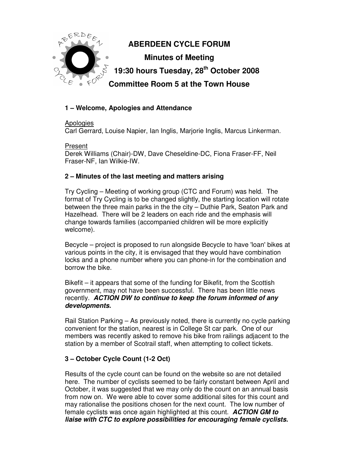

# **1 – Welcome, Apologies and Attendance**

#### Apologies

Carl Gerrard, Louise Napier, Ian Inglis, Marjorie Inglis, Marcus Linkerman.

Present Derek Williams (Chair)-DW, Dave Cheseldine-DC, Fiona Fraser-FF, Neil Fraser-NF, Ian Wilkie-IW.

## **2 – Minutes of the last meeting and matters arising**

Try Cycling – Meeting of working group (CTC and Forum) was held. The format of Try Cycling is to be changed slightly, the starting location will rotate between the three main parks in the the city – Duthie Park, Seaton Park and Hazelhead. There will be 2 leaders on each ride and the emphasis will change towards families (accompanied children will be more explicitly welcome).

Becycle – project is proposed to run alongside Becycle to have 'loan' bikes at various points in the city, it is envisaged that they would have combination locks and a phone number where you can phone-in for the combination and borrow the bike.

Bikefit – it appears that some of the funding for Bikefit, from the Scottish government, may not have been successful. There has been little news recently. **ACTION DW to continue to keep the forum informed of any developments.** 

Rail Station Parking – As previously noted, there is currently no cycle parking convenient for the station, nearest is in College St car park. One of our members was recently asked to remove his bike from railings adjacent to the station by a member of Scotrail staff, when attempting to collect tickets.

## **3 – October Cycle Count (1-2 Oct)**

Results of the cycle count can be found on the website so are not detailed here. The number of cyclists seemed to be fairly constant between April and October, it was suggested that we may only do the count on an annual basis from now on. We were able to cover some additional sites for this count and may rationalise the positions chosen for the next count. The low number of female cyclists was once again highlighted at this count. **ACTION GM to liaise with CTC to explore possibilities for encouraging female cyclists.**